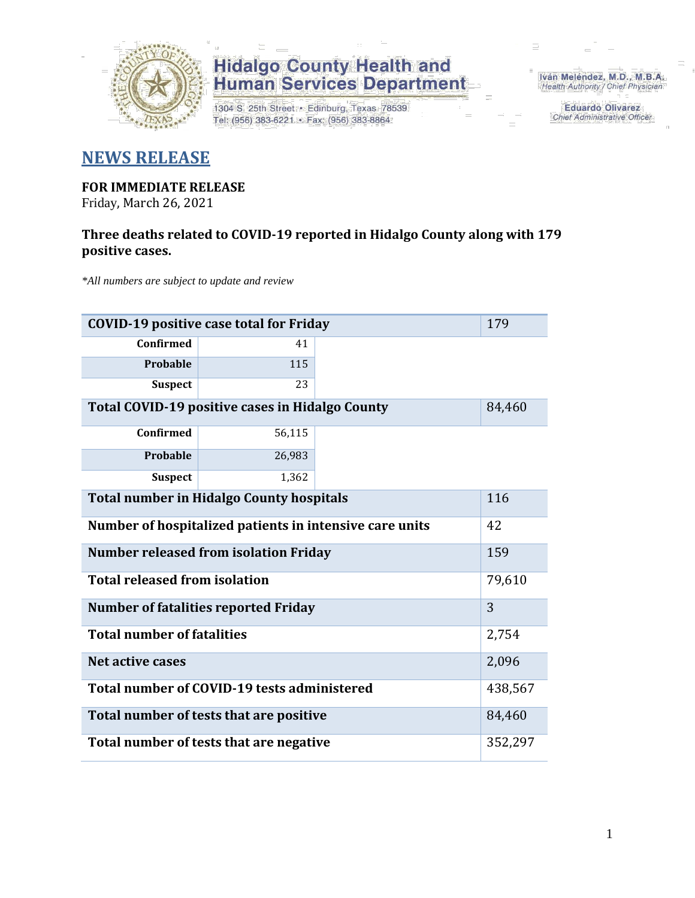

1304 S. 25th Street · Edinburg, Texas 78539 Tel: (956) 383-6221 · Fax: (956) 383-8864

Iván Meléndez, M.D., M.B.A. Health Authority / Chief Physician

> **Eduardo Olivarez** Chief Administrative Officer

### **NEWS RELEASE**

#### **FOR IMMEDIATE RELEASE** Friday, March 26, 2021

### **Three deaths related to COVID-19 reported in Hidalgo County along with 179 positive cases.**

*\*All numbers are subject to update and review*

| <b>COVID-19 positive case total for Friday</b>          |         |  |  |  |  |
|---------------------------------------------------------|---------|--|--|--|--|
| Confirmed                                               | 41      |  |  |  |  |
| Probable                                                | 115     |  |  |  |  |
| <b>Suspect</b>                                          | 23      |  |  |  |  |
| <b>Total COVID-19 positive cases in Hidalgo County</b>  | 84,460  |  |  |  |  |
| <b>Confirmed</b>                                        | 56,115  |  |  |  |  |
| Probable                                                | 26,983  |  |  |  |  |
| <b>Suspect</b>                                          | 1,362   |  |  |  |  |
| <b>Total number in Hidalgo County hospitals</b>         |         |  |  |  |  |
| Number of hospitalized patients in intensive care units | 42      |  |  |  |  |
| <b>Number released from isolation Friday</b>            | 159     |  |  |  |  |
| <b>Total released from isolation</b>                    | 79,610  |  |  |  |  |
| <b>Number of fatalities reported Friday</b>             | 3       |  |  |  |  |
| <b>Total number of fatalities</b>                       | 2,754   |  |  |  |  |
| Net active cases                                        | 2,096   |  |  |  |  |
| Total number of COVID-19 tests administered             | 438,567 |  |  |  |  |
| Total number of tests that are positive                 | 84,460  |  |  |  |  |
| Total number of tests that are negative                 | 352,297 |  |  |  |  |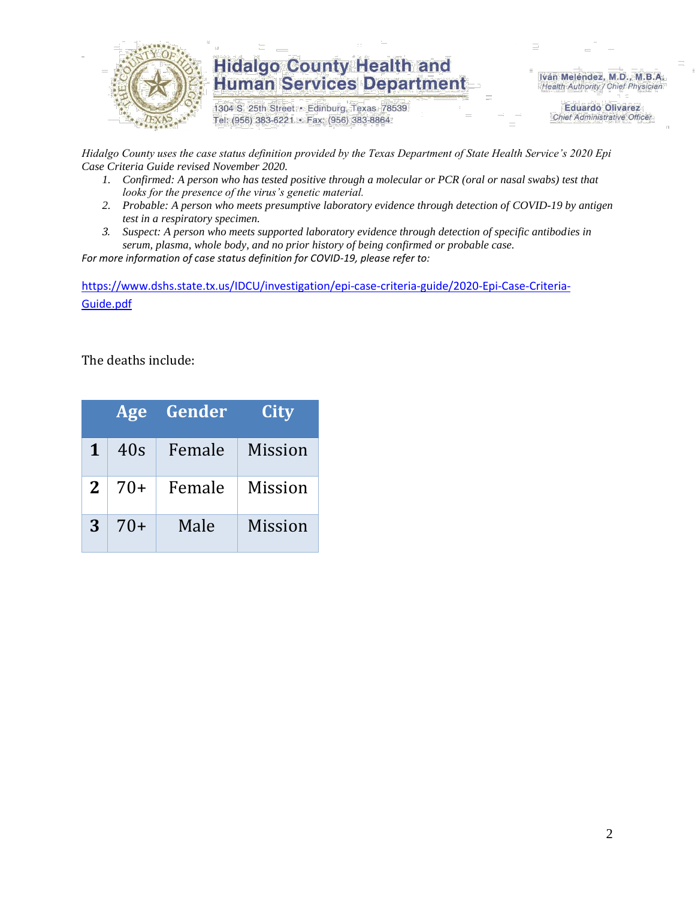

1304 S. 25th Street · Edinburg, Texas 78539 Tel: (956) 383-6221 · Fax: (956) 383-8864

Iván Meléndez, M.D., M.B.A. Health Authority / Chief Physician

> **Eduardo Olivarez Chief Administrative Officer**

*Hidalgo County uses the case status definition provided by the Texas Department of State Health Service's 2020 Epi Case Criteria Guide revised November 2020.*

- *1. Confirmed: A person who has tested positive through a molecular or PCR (oral or nasal swabs) test that looks for the presence of the virus's genetic material.*
- *2. Probable: A person who meets presumptive laboratory evidence through detection of COVID-19 by antigen test in a respiratory specimen.*
- *3. Suspect: A person who meets supported laboratory evidence through detection of specific antibodies in serum, plasma, whole body, and no prior history of being confirmed or probable case.*

*For more information of case status definition for COVID-19, please refer to:*

[https://www.dshs.state.tx.us/IDCU/investigation/epi-case-criteria-guide/2020-Epi-Case-Criteria-](https://www.dshs.state.tx.us/IDCU/investigation/epi-case-criteria-guide/2020-Epi-Case-Criteria-Guide.pdf)[Guide.pdf](https://www.dshs.state.tx.us/IDCU/investigation/epi-case-criteria-guide/2020-Epi-Case-Criteria-Guide.pdf)

The deaths include:

|   | <b>Age</b> | Gender | City           |
|---|------------|--------|----------------|
| 1 | 40s        | Female | <b>Mission</b> |
| 2 | $70+$      | Female | <b>Mission</b> |
| 3 | $70+$      | Male   | <b>Mission</b> |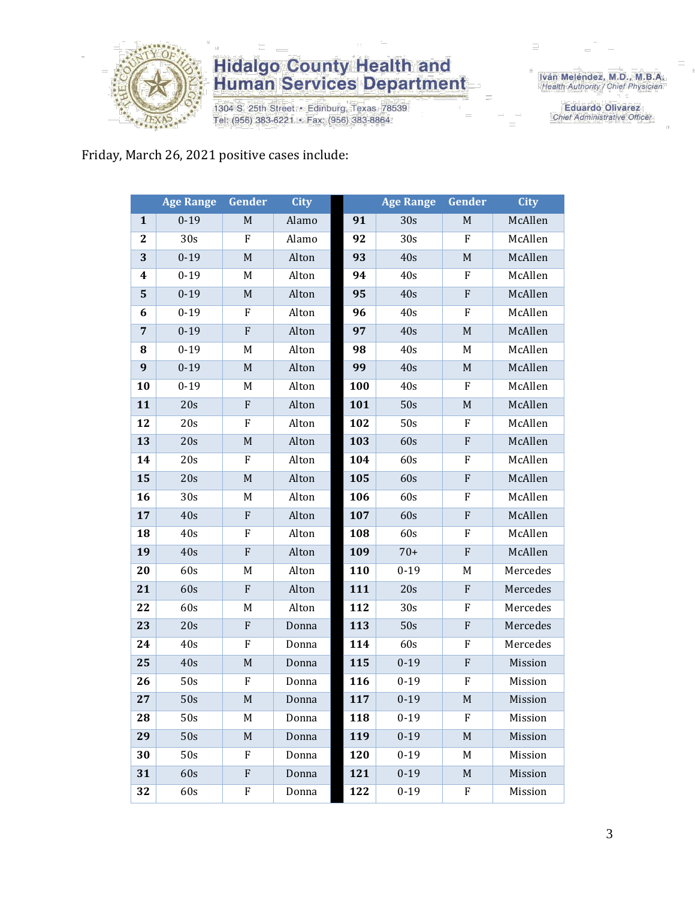

1304 S. 25th Street · Edinburg, Texas 78539 Tel: (956) 383-6221 · Fax: (956) 383-8864

Iván Meléndez, M.D., M.B.A.<br>Health Authority / Chief Physician

**Eduardo Olivarez** Chief Administrative Officer

### Friday, March 26, 2021 positive cases include:

|                  | <b>Age Range</b> | <b>Gender</b>             | City  |     | <b>Age Range</b> | Gender                    | <b>City</b> |
|------------------|------------------|---------------------------|-------|-----|------------------|---------------------------|-------------|
| $\mathbf{1}$     | $0 - 19$         | $\mathbf M$               | Alamo | 91  | 30s              | $\mathbf M$               | McAllen     |
| $\boldsymbol{2}$ | 30s              | F                         | Alamo | 92  | 30 <sub>s</sub>  | F                         | McAllen     |
| 3                | $0 - 19$         | $\mathbf M$               | Alton | 93  | 40s              | $\mathbf M$               | McAllen     |
| 4                | $0 - 19$         | M                         | Alton | 94  | 40s              | $\boldsymbol{\mathrm{F}}$ | McAllen     |
| 5                | $0 - 19$         | $\mathbf M$               | Alton | 95  | 40s              | ${\bf F}$                 | McAllen     |
| 6                | $0 - 19$         | F                         | Alton | 96  | 40s              | $\boldsymbol{\mathrm{F}}$ | McAllen     |
| 7                | $0 - 19$         | F                         | Alton | 97  | 40s              | $\mathbf M$               | McAllen     |
| 8                | $0 - 19$         | M                         | Alton | 98  | 40s              | M                         | McAllen     |
| 9                | $0 - 19$         | M                         | Alton | 99  | 40s              | $\mathbf M$               | McAllen     |
| 10               | $0 - 19$         | M                         | Alton | 100 | 40s              | $\boldsymbol{\mathrm{F}}$ | McAllen     |
| 11               | 20s              | F                         | Alton | 101 | 50s              | M                         | McAllen     |
| 12               | 20s              | F                         | Alton | 102 | 50s              | F                         | McAllen     |
| 13               | 20s              | M                         | Alton | 103 | 60s              | ${\bf F}$                 | McAllen     |
| 14               | 20s              | F                         | Alton | 104 | 60s              | F                         | McAllen     |
| 15               | 20s              | $\mathbf M$               | Alton | 105 | 60s              | ${\bf F}$                 | McAllen     |
| 16               | 30s              | M                         | Alton | 106 | 60s              | F                         | McAllen     |
| 17               | 40s              | F                         | Alton | 107 | 60s              | ${\bf F}$                 | McAllen     |
| 18               | 40s              | ${\bf F}$                 | Alton | 108 | 60s              | $\boldsymbol{\mathrm{F}}$ | McAllen     |
| 19               | 40s              | ${\bf F}$                 | Alton | 109 | $70+$            | ${\bf F}$                 | McAllen     |
| 20               | 60s              | M                         | Alton | 110 | $0 - 19$         | M                         | Mercedes    |
| 21               | 60s              | ${\bf F}$                 | Alton | 111 | 20s              | ${\bf F}$                 | Mercedes    |
| 22               | 60s              | M                         | Alton | 112 | 30 <sub>s</sub>  | F                         | Mercedes    |
| 23               | 20s              | F                         | Donna | 113 | 50s              | $\boldsymbol{\mathrm{F}}$ | Mercedes    |
| 24               | 40s              | F                         | Donna | 114 | 60s              | F                         | Mercedes    |
| 25               | 40s              | M                         | Donna | 115 | $0 - 19$         | ${\bf F}$                 | Mission     |
| 26               | 50s              | F                         | Donna | 116 | $0 - 19$         | F                         | Mission     |
| 27               | 50s              | M                         | Donna | 117 | $0 - 19$         | M                         | Mission     |
| 28               | 50s              | M                         | Donna | 118 | $0 - 19$         | F                         | Mission     |
| 29               | 50s              | M                         | Donna | 119 | $0 - 19$         | $\mathbf M$               | Mission     |
| 30               | 50s              | F                         | Donna | 120 | $0 - 19$         | M                         | Mission     |
| 31               | 60s              | $\boldsymbol{\mathrm{F}}$ | Donna | 121 | $0 - 19$         | M                         | Mission     |
| 32               | 60s              | F                         | Donna | 122 | $0 - 19$         | F                         | Mission     |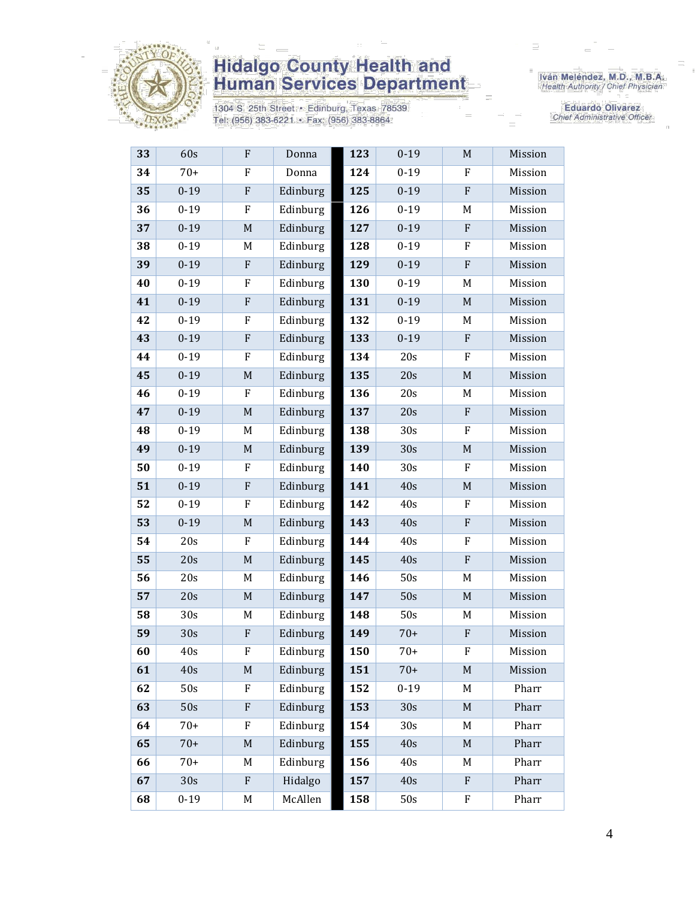

1304 S. 25th Street • Edinburg, Texas 78539<br>Tel: (956) 383-6221 • Fax: (956) 383-8864

Iván Meléndez, M.D., M.B.A.<br>Health Authority / Chief Physician

Eduardo Olivarez Chief Administrative Officer

| 33 | 60s             | F                         | Donna    | 123 | $0 - 19$ | M                         | Mission |
|----|-----------------|---------------------------|----------|-----|----------|---------------------------|---------|
| 34 | $70+$           | F                         | Donna    | 124 | $0 - 19$ | F                         | Mission |
| 35 | $0 - 19$        | ${\bf F}$                 | Edinburg | 125 | $0 - 19$ | ${\bf F}$                 | Mission |
| 36 | $0 - 19$        | $\rm F$                   | Edinburg | 126 | $0 - 19$ | M                         | Mission |
| 37 | $0 - 19$        | $\mathbf M$               | Edinburg | 127 | $0 - 19$ | ${\bf F}$                 | Mission |
| 38 | $0 - 19$        | M                         | Edinburg | 128 | $0 - 19$ | F                         | Mission |
| 39 | $0 - 19$        | ${\bf F}$                 | Edinburg | 129 | $0 - 19$ | ${\bf F}$                 | Mission |
| 40 | $0 - 19$        | $\rm F$                   | Edinburg | 130 | $0 - 19$ | M                         | Mission |
| 41 | $0 - 19$        | $\boldsymbol{\mathrm{F}}$ | Edinburg | 131 | $0 - 19$ | M                         | Mission |
| 42 | $0 - 19$        | $\rm F$                   | Edinburg | 132 | $0 - 19$ | M                         | Mission |
| 43 | $0 - 19$        | ${\bf F}$                 | Edinburg | 133 | $0 - 19$ | ${\bf F}$                 | Mission |
| 44 | $0 - 19$        | $\rm F$                   | Edinburg | 134 | 20s      | F                         | Mission |
| 45 | $0 - 19$        | $\mathbf M$               | Edinburg | 135 | 20s      | $\mathbf M$               | Mission |
| 46 | $0 - 19$        | ${\bf F}$                 | Edinburg | 136 | 20s      | M                         | Mission |
| 47 | $0 - 19$        | $\mathbf M$               | Edinburg | 137 | 20s      | $\boldsymbol{\mathrm{F}}$ | Mission |
| 48 | $0 - 19$        | M                         | Edinburg | 138 | 30s      | F                         | Mission |
| 49 | $0 - 19$        | $\mathbf M$               | Edinburg | 139 | 30s      | $\mathbf M$               | Mission |
| 50 | $0 - 19$        | $\rm F$                   | Edinburg | 140 | 30s      | F                         | Mission |
| 51 | $0 - 19$        | ${\bf F}$                 | Edinburg | 141 | 40s      | $\mathbf M$               | Mission |
| 52 | $0 - 19$        | $\rm F$                   | Edinburg | 142 | 40s      | $\boldsymbol{\mathrm{F}}$ | Mission |
| 53 | $0 - 19$        | $\mathbf M$               | Edinburg | 143 | 40s      | ${\bf F}$                 | Mission |
| 54 | 20s             | $\rm F$                   | Edinburg | 144 | 40s      | F                         | Mission |
| 55 | 20s             | $\mathbf M$               | Edinburg | 145 | 40s      | ${\bf F}$                 | Mission |
| 56 | 20s             | M                         | Edinburg | 146 | 50s      | M                         | Mission |
| 57 | 20s             | $\mathbf M$               | Edinburg | 147 | 50s      | $\mathbf M$               | Mission |
| 58 | 30 <sub>s</sub> | M                         | Edinburg | 148 | 50s      | M                         | Mission |
| 59 | 30s             | $\boldsymbol{\mathrm{F}}$ | Edinburg | 149 | $70+$    | $\boldsymbol{\mathrm{F}}$ | Mission |
| 60 | 40s             | F                         | Edinburg | 150 | $70+$    | F                         | Mission |
| 61 | 40s             | M                         | Edinburg | 151 | $70+$    | M                         | Mission |
| 62 | 50s             | F                         | Edinburg | 152 | $0 - 19$ | M                         | Pharr   |
| 63 | 50s             | ${\bf F}$                 | Edinburg | 153 | 30s      | $\mathbf M$               | Pharr   |
| 64 | $70+$           | $\rm F$                   | Edinburg | 154 | 30s      | M                         | Pharr   |
| 65 | $70+$           | $\mathbf M$               | Edinburg | 155 | 40s      | M                         | Pharr   |
| 66 | $70+$           | M                         | Edinburg | 156 | 40s      | M                         | Pharr   |
| 67 | 30s             | ${\bf F}$                 | Hidalgo  | 157 | 40s      | ${\bf F}$                 | Pharr   |
| 68 | $0 - 19$        | M                         | McAllen  | 158 | 50s      | F                         | Pharr   |